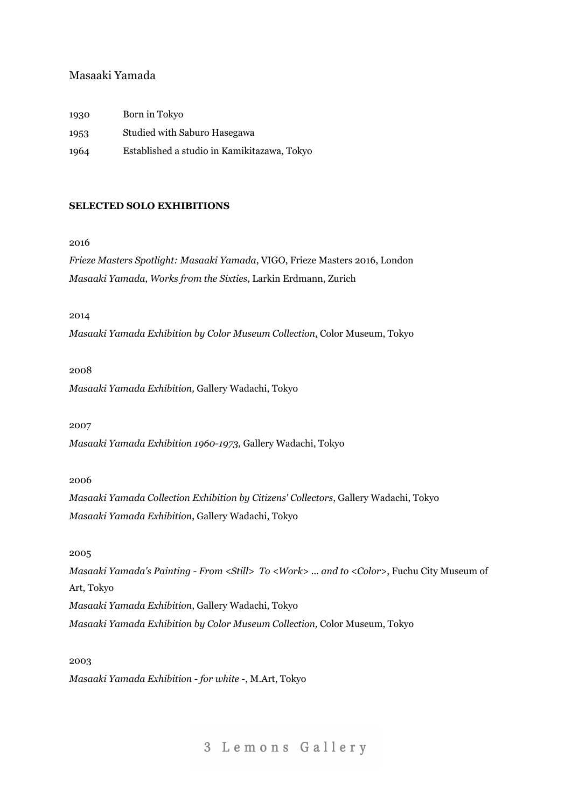## Masaaki Yamada

| 1930 | Born in Tokyo                               |
|------|---------------------------------------------|
| 1953 | Studied with Saburo Hasegawa                |
| 1964 | Established a studio in Kamikitazawa, Tokyo |

## **SELECTED SOLO EXHIBITIONS**

#### 2016

*Frieze Masters Spotlight: Masaaki Yamada*, VIGO, Frieze Masters 2016, London *Masaaki Yamada, Works from the Sixties*, Larkin Erdmann, Zurich

## 2014

*Masaaki Yamada Exhibition by Color Museum Collection*, Color Museum, Tokyo

#### 2008

*Masaaki Yamada Exhibition,* Gallery Wadachi, Tokyo

2007

*Masaaki Yamada Exhibition 1960-1973,* Gallery Wadachi, Tokyo

2006

*Masaaki Yamada Collection Exhibition by Citizens' Collectors*, Gallery Wadachi, Tokyo *Masaaki Yamada Exhibition*, Gallery Wadachi, Tokyo

2005

*Masaaki Yamada's Painting - From <Still> To <Work> ... and to <Color>*, Fuchu City Museum of Art, Tokyo *Masaaki Yamada Exhibition*, Gallery Wadachi, Tokyo *Masaaki Yamada Exhibition by Color Museum Collection,* Color Museum, Tokyo

2003

*Masaaki Yamada Exhibition - for white -*, M.Art, Tokyo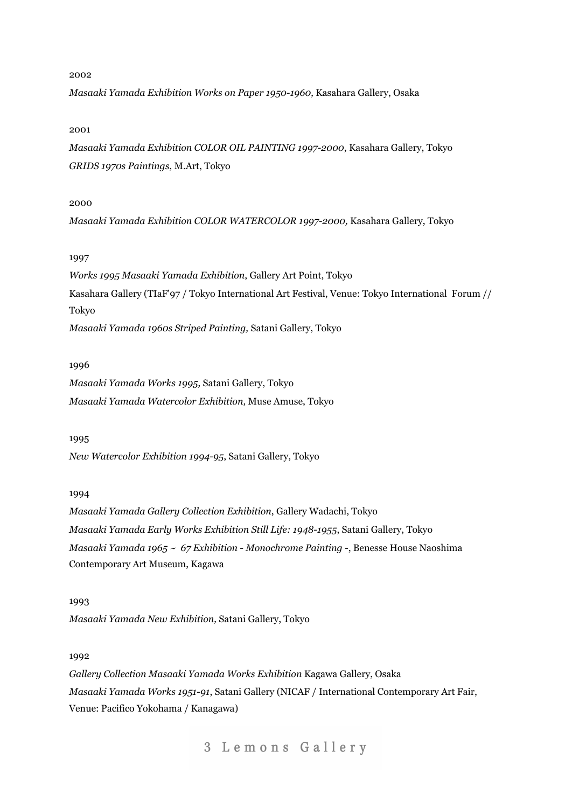*Masaaki Yamada Exhibition Works on Paper 1950-1960,* Kasahara Gallery, Osaka

#### 2001

*Masaaki Yamada Exhibition COLOR OIL PAINTING 1997-2000*, Kasahara Gallery, Tokyo *GRIDS 1970s Paintings*, M.Art, Tokyo

#### 2000

*Masaaki Yamada Exhibition COLOR WATERCOLOR 1997-2000,* Kasahara Gallery, Tokyo

## 1997

*Works 1995 Masaaki Yamada Exhibition*, Gallery Art Point, Tokyo Kasahara Gallery (TIaF'97 / Tokyo International Art Festival, Venue: Tokyo International Forum // Tokyo *Masaaki Yamada 1960s Striped Painting,* Satani Gallery, Tokyo

#### 1996

*Masaaki Yamada Works 1995,* Satani Gallery, Tokyo *Masaaki Yamada Watercolor Exhibition,* Muse Amuse, Tokyo

#### 1995

*New Watercolor Exhibition 1994-95*, Satani Gallery, Tokyo

## 1994

*Masaaki Yamada Gallery Collection Exhibition*, Gallery Wadachi, Tokyo *Masaaki Yamada Early Works Exhibition Still Life: 1948-1955*, Satani Gallery, Tokyo *Masaaki Yamada 1965 ~ 67 Exhibition - Monochrome Painting -*, Benesse House Naoshima Contemporary Art Museum, Kagawa

1993 *Masaaki Yamada New Exhibition,* Satani Gallery, Tokyo

### 1992

*Gallery Collection Masaaki Yamada Works Exhibition* Kagawa Gallery, Osaka *Masaaki Yamada Works 1951-91*, Satani Gallery (NICAF / International Contemporary Art Fair, Venue: Pacifico Yokohama / Kanagawa)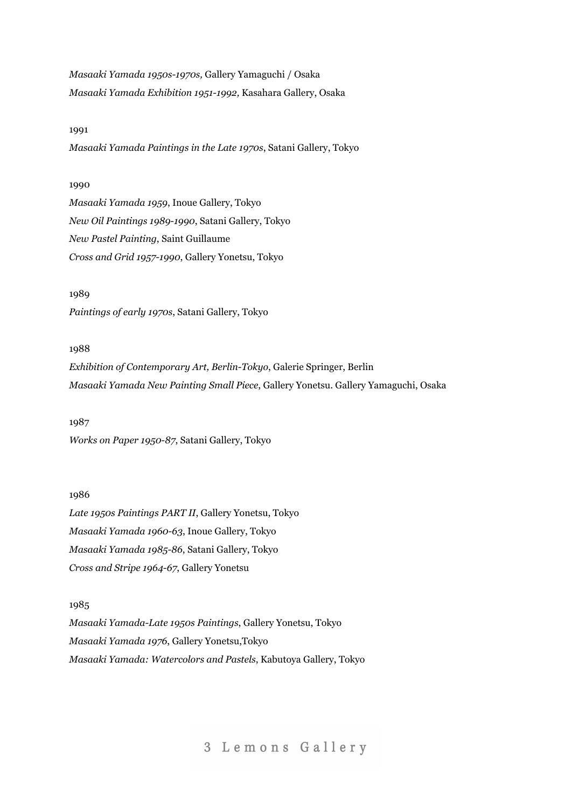*Masaaki Yamada 1950s-1970s,* Gallery Yamaguchi / Osaka *Masaaki Yamada Exhibition 1951-1992,* Kasahara Gallery, Osaka

#### 1991

*Masaaki Yamada Paintings in the Late 1970s*, Satani Gallery, Tokyo

## 1990

*Masaaki Yamada 1959*, Inoue Gallery, Tokyo *New Oil Paintings 1989-1990*, Satani Gallery, Tokyo *New Pastel Painting*, Saint Guillaume *Cross and Grid 1957-1990*, Gallery Yonetsu, Tokyo

1989 *Paintings of early 1970s*, Satani Gallery, Tokyo

#### 1988

*Exhibition of Contemporary Art, Berlin-Tokyo*, Galerie Springer, Berlin *Masaaki Yamada New Painting Small Piece*, Gallery Yonetsu. Gallery Yamaguchi, Osaka

1987 *Works on Paper 1950-87*, Satani Gallery, Tokyo

## 1986

*Late 1950s Paintings PART II*, Gallery Yonetsu, Tokyo *Masaaki Yamada 1960-63*, Inoue Gallery, Tokyo *Masaaki Yamada 1985-86*, Satani Gallery, Tokyo *Cross and Stripe 1964-67*, Gallery Yonetsu

1985

*Masaaki Yamada-Late 1950s Paintings*, Gallery Yonetsu, Tokyo *Masaaki Yamada 1976*, Gallery Yonetsu,Tokyo *Masaaki Yamada: Watercolors and Pastels*, Kabutoya Gallery, Tokyo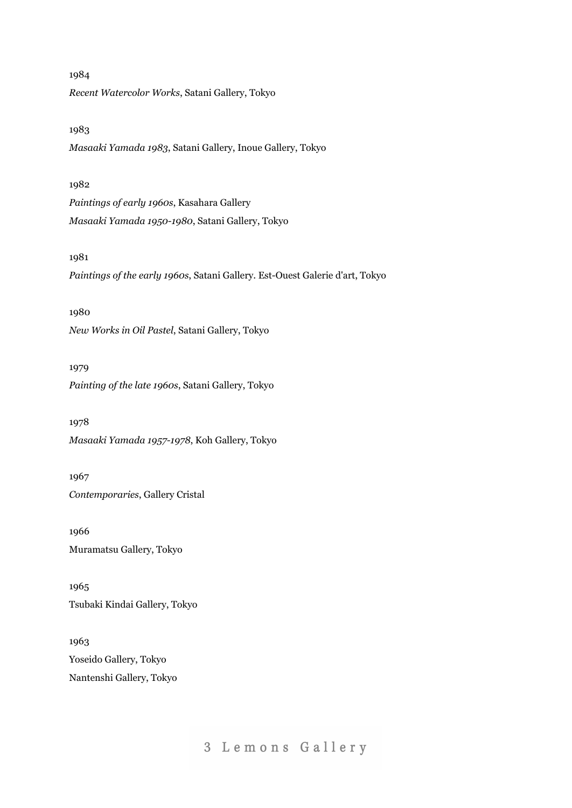*Recent Watercolor Works*, Satani Gallery, Tokyo

1983

1984

*Masaaki Yamada 1983*, Satani Gallery, Inoue Gallery, Tokyo

## 1982

*Paintings of early 1960s*, Kasahara Gallery *Masaaki Yamada 1950-1980*, Satani Gallery, Tokyo

## 1981

*Paintings of the early 1960s*, Satani Gallery. Est-Ouest Galerie d'art, Tokyo

1980

*New Works in Oil Pastel*, Satani Gallery, Tokyo

1979

*Painting of the late 1960s*, Satani Gallery, Tokyo

1978 *Masaaki Yamada 1957-1978*, Koh Gallery, Tokyo

1967 *Contemporaries*, Gallery Cristal

1966 Muramatsu Gallery, Tokyo

1965 Tsubaki Kindai Gallery, Tokyo

1963 Yoseido Gallery, Tokyo Nantenshi Gallery, Tokyo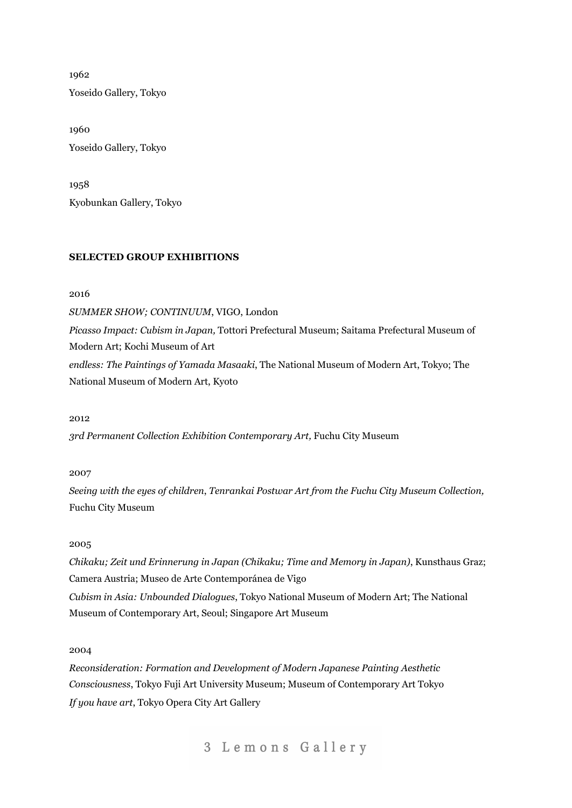1962 Yoseido Gallery, Tokyo

1960 Yoseido Gallery, Tokyo

1958 Kyobunkan Gallery, Tokyo

## **SELECTED GROUP EXHIBITIONS**

2016

*SUMMER SHOW; CONTINUUM*, VIGO, London

*Picasso Impact: Cubism in Japan,* Tottori Prefectural Museum; Saitama Prefectural Museum of Modern Art; Kochi Museum of Art

*endless: The Paintings of Yamada Masaaki*, The National Museum of Modern Art, Tokyo; The National Museum of Modern Art, Kyoto

2012

*3rd Permanent Collection Exhibition Contemporary Art,* Fuchu City Museum

2007

*Seeing with the eyes of children*, *Tenrankai Postwar Art from the Fuchu City Museum Collection,* Fuchu City Museum

## 2005

*Chikaku; Zeit und Erinnerung in Japan (Chikaku; Time and Memory in Japan)*, Kunsthaus Graz; Camera Austria; Museo de Arte Contemporánea de Vigo *Cubism in Asia: Unbounded Dialogues*, Tokyo National Museum of Modern Art; The National Museum of Contemporary Art, Seoul; Singapore Art Museum

2004

*Reconsideration: Formation and Development of Modern Japanese Painting Aesthetic Consciousness*, Tokyo Fuji Art University Museum; Museum of Contemporary Art Tokyo *If you have art*, Tokyo Opera City Art Gallery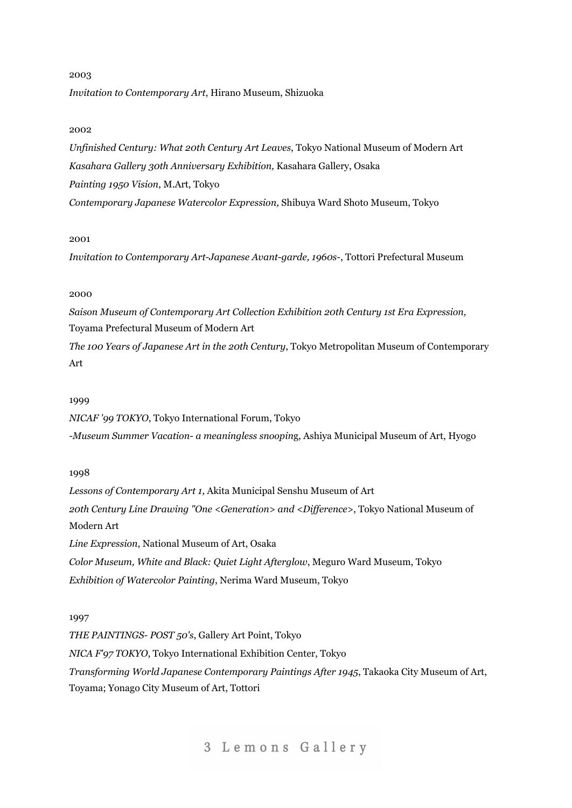# 2003 *Invitation to Contemporary Art*, Hirano Museum, Shizuoka

## 2002

*Unfinished Century: What 20th Century Art Leaves*, Tokyo National Museum of Modern Art *Kasahara Gallery 30th Anniversary Exhibition,* Kasahara Gallery, Osaka *Painting 1950 Vision*, M.Art, Tokyo *Contemporary Japanese Watercolor Expression,* Shibuya Ward Shoto Museum, Tokyo

#### 2001

*Invitation to Contemporary Art-Japanese Avant-garde, 1960s-*, Tottori Prefectural Museum

## 2000

*Saison Museum of Contemporary Art Collection Exhibition 20th Century 1st Era Expression,* Toyama Prefectural Museum of Modern Art

*The 100 Years of Japanese Art in the 20th Century*, Tokyo Metropolitan Museum of Contemporary Art

## 1999

*NICAF '99 TOKYO*, Tokyo International Forum, Tokyo *-Museum Summer Vacation- a meaningless snoopin*g, Ashiya Municipal Museum of Art, Hyogo

## 1998

*Lessons of Contemporary Art 1*, Akita Municipal Senshu Museum of Art *20th Century Line Drawing "One <Generation> and <Dif erence>*, Tokyo National Museum of Modern Art *Line Expression*, National Museum of Art, Osaka *Color Museum, White and Black: Quiet Light Afterglow*, Meguro Ward Museum, Tokyo *Exhibition of Watercolor Painting*, Nerima Ward Museum, Tokyo

## 1997

*THE PAINTINGS- POST 50's*, Gallery Art Point, Tokyo *NICA F'97 TOKYO*, Tokyo International Exhibition Center, Tokyo *Transforming World Japanese Contemporary Paintings After 1945*, Takaoka City Museum of Art, Toyama; Yonago City Museum of Art, Tottori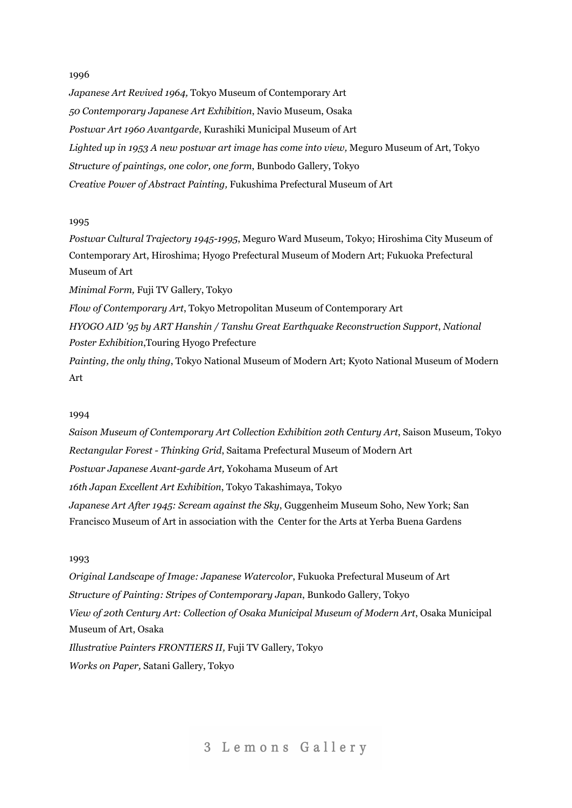*Japanese Art Revived 1964,* Tokyo Museum of Contemporary Art *50 Contemporary Japanese Art Exhibition*, Navio Museum, Osaka *Postwar Art 1960 Avantgarde*, Kurashiki Municipal Museum of Art *Lighted up in 1953 A new postwar art image has come into view,* Meguro Museum of Art, Tokyo *Structure of paintings, one color, one form*, Bunbodo Gallery, Tokyo *Creative Power of Abstract Painting,* Fukushima Prefectural Museum of Art

## 1995

*Postwar Cultural Trajectory 1945-1995*, Meguro Ward Museum, Tokyo; Hiroshima City Museum of Contemporary Art, Hiroshima; Hyogo Prefectural Museum of Modern Art; Fukuoka Prefectural Museum of Art

*Minimal Form,* Fuji TV Gallery, Tokyo

*Flow of Contemporary Art*, Tokyo Metropolitan Museum of Contemporary Art

*HYOGO AID '95 by ART Hanshin / Tanshu Great Earthquake Reconstruction Support*, *National Poster Exhibition*,Touring Hyogo Prefecture

*Painting, the only thing*, Tokyo National Museum of Modern Art; Kyoto National Museum of Modern Art

#### 1994

*Saison Museum of Contemporary Art Collection Exhibition 20th Century Art*, Saison Museum, Tokyo *Rectangular Forest - Thinking Grid*, Saitama Prefectural Museum of Modern Art *Postwar Japanese Avant-garde Art,* Yokohama Museum of Art *16th Japan Excellent Art Exhibition*, Tokyo Takashimaya, Tokyo *Japanese Art After 1945: Scream against the Sky*, Guggenheim Museum Soho, New York; San Francisco Museum of Art in association with the Center for the Arts at Yerba Buena Gardens

#### 1993

*Original Landscape of Image: Japanese Watercolor*, Fukuoka Prefectural Museum of Art *Structure of Painting: Stripes of Contemporary Japan*, Bunkodo Gallery, Tokyo *View of 20th Century Art: Collection of Osaka Municipal Museum of Modern Art*, Osaka Municipal Museum of Art, Osaka *Illustrative Painters FRONTIERS II,* Fuji TV Gallery, Tokyo *Works on Paper,* Satani Gallery, Tokyo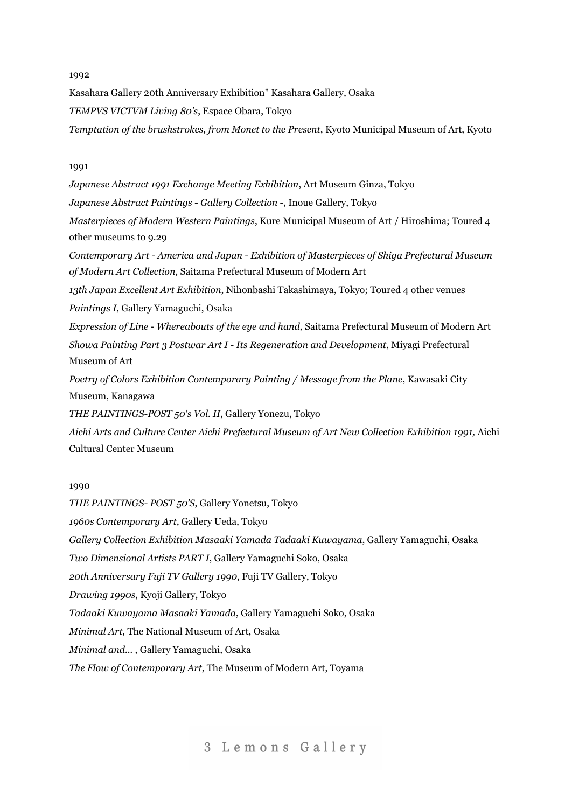Kasahara Gallery 20th Anniversary Exhibition" Kasahara Gallery, Osaka *TEMPVS VICTVM Living 80's*, Espace Obara, Tokyo *Temptation of the brushstrokes, from Monet to the Present*, Kyoto Municipal Museum of Art, Kyoto

## 1991

*Japanese Abstract 1991 Exchange Meeting Exhibition*, Art Museum Ginza, Tokyo *Japanese Abstract Paintings - Gallery Collection -*, Inoue Gallery, Tokyo *Masterpieces of Modern Western Paintings*, Kure Municipal Museum of Art / Hiroshima; Toured 4 other museums to 9.29 *Contemporary Art - America and Japan - Exhibition of Masterpieces of Shiga Prefectural Museum of Modern Art Collection,* Saitama Prefectural Museum of Modern Art *13th Japan Excellent Art Exhibition*, Nihonbashi Takashimaya, Tokyo; Toured 4 other venues *Paintings I*, Gallery Yamaguchi, Osaka *Expression of Line - Whereabouts of the eye and hand,* Saitama Prefectural Museum of Modern Art *Showa Painting Part 3 Postwar Art I - Its Regeneration and Development*, Miyagi Prefectural Museum of Art *Poetry of Colors Exhibition Contemporary Painting / Message from the Plane*, Kawasaki City Museum, Kanagawa *THE PAINTINGS-POST 50's Vol. II*, Gallery Yonezu, Tokyo

*Aichi Arts and Culture Center Aichi Prefectural Museum of Art New Collection Exhibition 1991,* Aichi Cultural Center Museum

## 1990

*THE PAINTINGS- POST 50'S*, Gallery Yonetsu, Tokyo *1960s Contemporary Art*, Gallery Ueda, Tokyo *Gallery Collection Exhibition Masaaki Yamada Tadaaki Kuwayama*, Gallery Yamaguchi, Osaka *Two Dimensional Artists PART I*, Gallery Yamaguchi Soko, Osaka *20th Anniversary Fuji TV Gallery 1990*, Fuji TV Gallery, Tokyo *Drawing 1990s*, Kyoji Gallery, Tokyo *Tadaaki Kuwayama Masaaki Yamada*, Gallery Yamaguchi Soko, Osaka *Minimal Art*, The National Museum of Art, Osaka *Minimal and...* , Gallery Yamaguchi, Osaka *The Flow of Contemporary Art*, The Museum of Modern Art, Toyama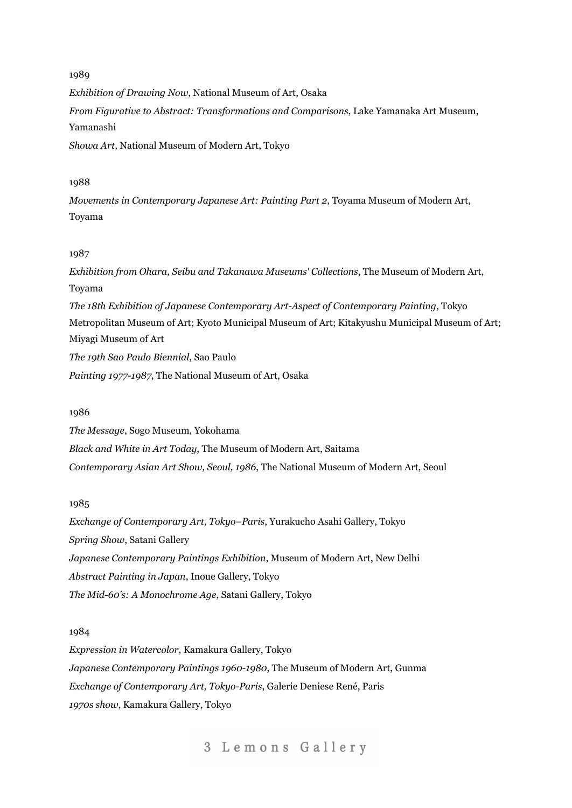1989 *Exhibition of Drawing Now*, National Museum of Art, Osaka *From Figurative to Abstract: Transformations and Comparisons*, Lake Yamanaka Art Museum, Yamanashi *Showa Art*, National Museum of Modern Art, Tokyo

## 1988

*Movements in Contemporary Japanese Art: Painting Part 2*, Toyama Museum of Modern Art, Toyama

### 1987

*Exhibition from Ohara, Seibu and Takanawa Museums' Collections*, The Museum of Modern Art, Toyama *The 18th Exhibition of Japanese Contemporary Art-Aspect of Contemporary Painting*, Tokyo Metropolitan Museum of Art; Kyoto Municipal Museum of Art; Kitakyushu Municipal Museum of Art; Miyagi Museum of Art *The 19th Sao Paulo Biennial*, Sao Paulo *Painting 1977-1987*, The National Museum of Art, Osaka

#### 1986

*The Message*, Sogo Museum, Yokohama *Black and White in Art Today*, The Museum of Modern Art, Saitama *Contemporary Asian Art Show, Seoul, 1986*, The National Museum of Modern Art, Seoul

#### 1985

*Exchange of Contemporary Art, Tokyo–Paris*, Yurakucho Asahi Gallery, Tokyo *Spring Show*, Satani Gallery *Japanese Contemporary Paintings Exhibition*, Museum of Modern Art, New Delhi *Abstract Painting in Japan*, Inoue Gallery, Tokyo *The Mid-60's: A Monochrome Age*, Satani Gallery, Tokyo

## 1984

*Expression in Watercolor*, Kamakura Gallery, Tokyo *Japanese Contemporary Paintings 1960-1980*, The Museum of Modern Art, Gunma *Exchange of Contemporary Art, Tokyo-Paris*, Galerie Deniese René, Paris *1970s show*, Kamakura Gallery, Tokyo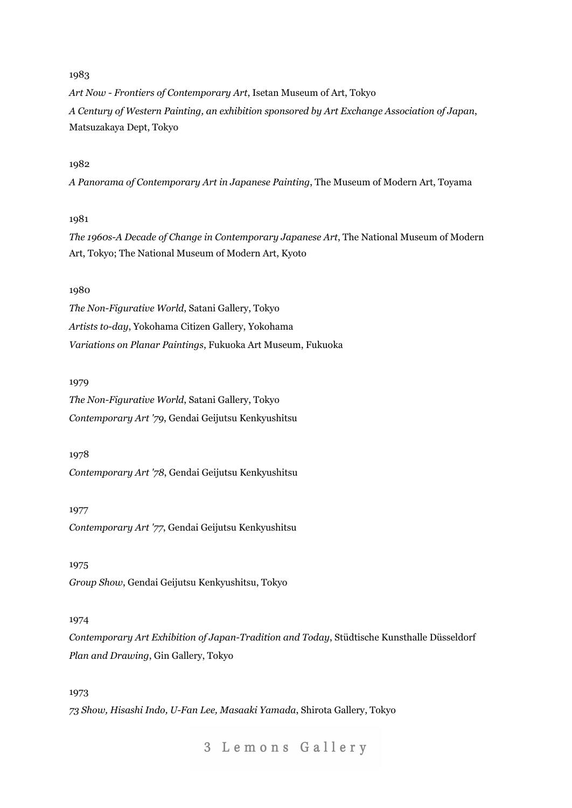*Art Now - Frontiers of Contemporary Art*, Isetan Museum of Art, Tokyo *A Century of Western Painting, an exhibition sponsored by Art Exchange Association of Japan*, Matsuzakaya Dept, Tokyo

## 1982

*A Panorama of Contemporary Art in Japanese Painting*, The Museum of Modern Art, Toyama

#### 1981

*The 1960s-A Decade of Change in Contemporary Japanese Art*, The National Museum of Modern Art, Tokyo; The National Museum of Modern Art, Kyoto

#### 1980

*The Non-Figurative World*, Satani Gallery, Tokyo *Artists to-day*, Yokohama Citizen Gallery, Yokohama *Variations on Planar Paintings*, Fukuoka Art Museum, Fukuoka

#### 1979

*The Non-Figurative World*, Satani Gallery, Tokyo *Contemporary Art '79*, Gendai Geijutsu Kenkyushitsu

#### 1978

*Contemporary Art '78*, Gendai Geijutsu Kenkyushitsu

## 1977 *Contemporary Art '77*, Gendai Geijutsu Kenkyushitsu

1975 *Group Show*, Gendai Geijutsu Kenkyushitsu, Tokyo

## 1974

*Contemporary Art Exhibition of Japan-Tradition and Today*, Stüdtische Kunsthalle Düsseldorf *Plan and Drawing*, Gin Gallery, Tokyo

## 1973

*73 Show, Hisashi Indo, U-Fan Lee, Masaaki Yamada*, Shirota Gallery, Tokyo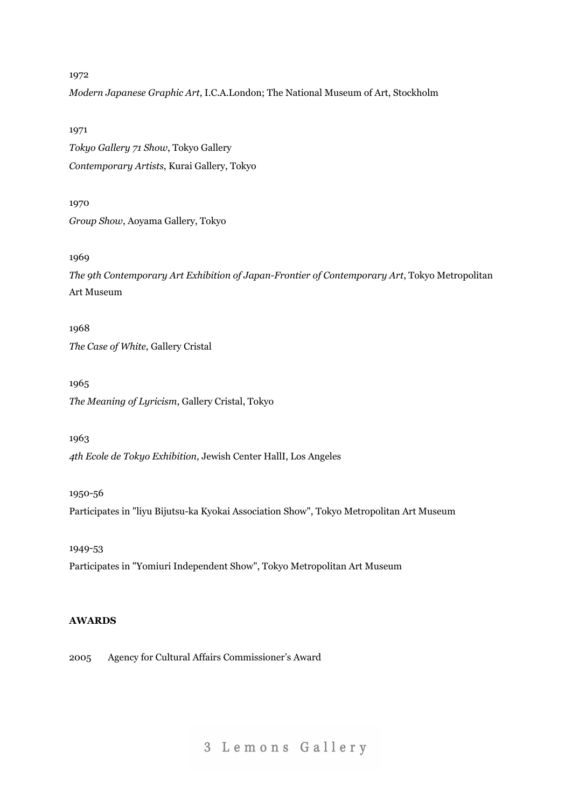*Modern Japanese Graphic Art*, I.C.A.London; The National Museum of Art, Stockholm

1971

*Tokyo Gallery 71 Show*, Tokyo Gallery *Contemporary Artists*, Kurai Gallery, Tokyo

1970 *Group Show*, Aoyama Gallery, Tokyo

1969

*The 9th Contemporary Art Exhibition of Japan-Frontier of Contemporary Art*, Tokyo Metropolitan Art Museum

1968 *The Case of White*, Gallery Cristal

1965 *The Meaning of Lyricism*, Gallery Cristal, Tokyo

1963 *4th Ecole de Tokyo Exhibition*, Jewish Center HallI, Los Angeles

1950-56 Participates in "liyu Bijutsu-ka Kyokai Association Show", Tokyo Metropolitan Art Museum

1949-53 Participates in "Yomiuri Independent Show", Tokyo Metropolitan Art Museum

## **AWARDS**

2005 Agency for Cultural Affairs Commissioner's Award